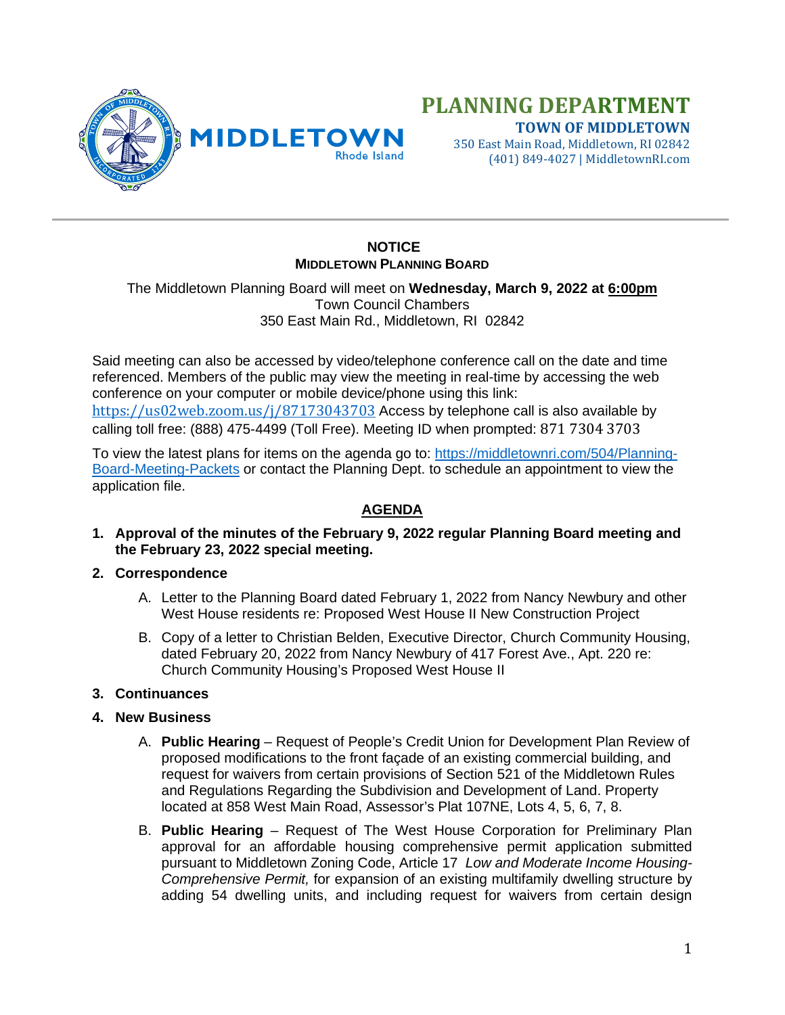

# **PLANNING DEPARTMENT TOWN OF MIDDLETOWN**

350 East Main Road, Middletown, RI 02842 (401) 849-4027 | MiddletownRI.com

## **NOTICE MIDDLETOWN PLANNING BOARD**

The Middletown Planning Board will meet on **Wednesday, March 9, 2022 at 6:00pm** Town Council Chambers 350 East Main Rd., Middletown, RI 02842

Said meeting can also be accessed by video/telephone conference call on the date and time referenced. Members of the public may view the meeting in real-time by accessing the web conference on your computer or mobile device/phone using this link: <https://us02web.zoom.us/j/87173043703> Access by telephone call is also available by calling toll free: (888) 475-4499 (Toll Free). Meeting ID when prompted: 871 7304 3703

To view the latest plans for items on the agenda go to: [https://middletownri.com/504/Planning-](https://middletownri.com/504/Planning-Board-Meeting-Packets)[Board-Meeting-Packets](https://middletownri.com/504/Planning-Board-Meeting-Packets) or contact the Planning Dept. to schedule an appointment to view the application file.

### **AGENDA**

**1. Approval of the minutes of the February 9, 2022 regular Planning Board meeting and the February 23, 2022 special meeting.**

#### **2. Correspondence**

- A. Letter to the Planning Board dated February 1, 2022 from Nancy Newbury and other West House residents re: Proposed West House II New Construction Project
- B. Copy of a letter to Christian Belden, Executive Director, Church Community Housing, dated February 20, 2022 from Nancy Newbury of 417 Forest Ave., Apt. 220 re: Church Community Housing's Proposed West House II

#### **3. Continuances**

- **4. New Business**
	- A. **Public Hearing** Request of People's Credit Union for Development Plan Review of proposed modifications to the front façade of an existing commercial building, and request for waivers from certain provisions of Section 521 of the Middletown Rules and Regulations Regarding the Subdivision and Development of Land. Property located at 858 West Main Road, Assessor's Plat 107NE, Lots 4, 5, 6, 7, 8.
	- B. **Public Hearing** Request of The West House Corporation for Preliminary Plan approval for an affordable housing comprehensive permit application submitted pursuant to Middletown Zoning Code, Article 17 *Low and Moderate Income Housing-Comprehensive Permit,* for expansion of an existing multifamily dwelling structure by adding 54 dwelling units, and including request for waivers from certain design